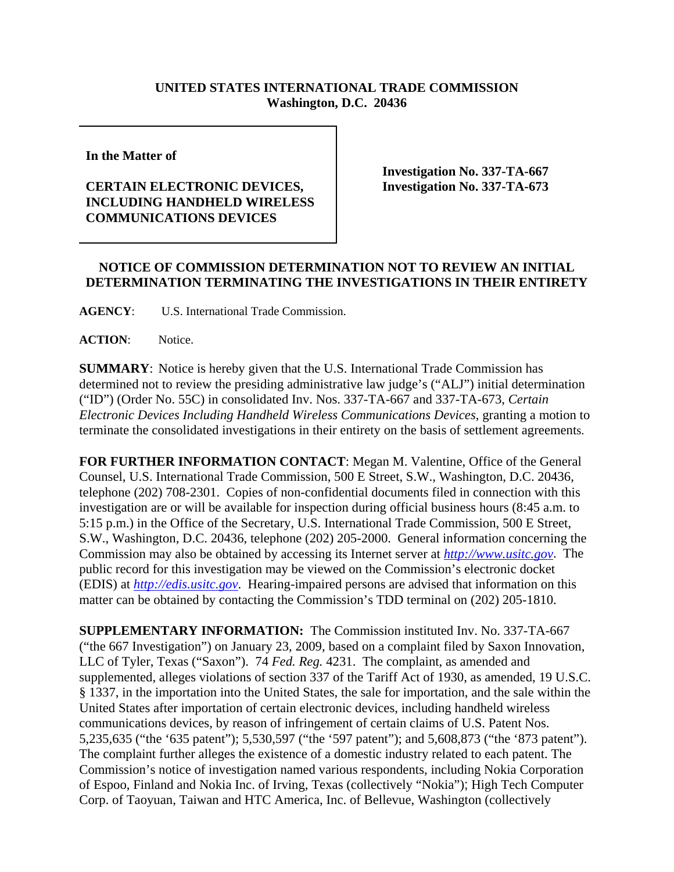## **UNITED STATES INTERNATIONAL TRADE COMMISSION Washington, D.C. 20436**

**In the Matter of** 

## **CERTAIN ELECTRONIC DEVICES, INCLUDING HANDHELD WIRELESS COMMUNICATIONS DEVICES**

**Investigation No. 337-TA-667 Investigation No. 337-TA-673**

## **NOTICE OF COMMISSION DETERMINATION NOT TO REVIEW AN INITIAL DETERMINATION TERMINATING THE INVESTIGATIONS IN THEIR ENTIRETY**

**AGENCY**: U.S. International Trade Commission.

**ACTION**: Notice.

**SUMMARY**: Notice is hereby given that the U.S. International Trade Commission has determined not to review the presiding administrative law judge's ("ALJ") initial determination ("ID") (Order No. 55C) in consolidated Inv. Nos. 337-TA-667 and 337-TA-673, *Certain Electronic Devices Including Handheld Wireless Communications Devices*, granting a motion to terminate the consolidated investigations in their entirety on the basis of settlement agreements.

**FOR FURTHER INFORMATION CONTACT**: Megan M. Valentine, Office of the General Counsel, U.S. International Trade Commission, 500 E Street, S.W., Washington, D.C. 20436, telephone (202) 708-2301. Copies of non-confidential documents filed in connection with this investigation are or will be available for inspection during official business hours (8:45 a.m. to 5:15 p.m.) in the Office of the Secretary, U.S. International Trade Commission, 500 E Street, S.W., Washington, D.C. 20436, telephone (202) 205-2000. General information concerning the Commission may also be obtained by accessing its Internet server at *http://www.usitc.gov*. The public record for this investigation may be viewed on the Commission's electronic docket (EDIS) at *http://edis.usitc.gov*. Hearing-impaired persons are advised that information on this matter can be obtained by contacting the Commission's TDD terminal on (202) 205-1810.

**SUPPLEMENTARY INFORMATION:** The Commission instituted Inv. No. 337-TA-667 ("the 667 Investigation") on January 23, 2009, based on a complaint filed by Saxon Innovation, LLC of Tyler, Texas ("Saxon"). 74 *Fed. Reg.* 4231. The complaint, as amended and supplemented, alleges violations of section 337 of the Tariff Act of 1930, as amended, 19 U.S.C. § 1337, in the importation into the United States, the sale for importation, and the sale within the United States after importation of certain electronic devices, including handheld wireless communications devices, by reason of infringement of certain claims of U.S. Patent Nos. 5,235,635 ("the '635 patent"); 5,530,597 ("the '597 patent"); and 5,608,873 ("the '873 patent"). The complaint further alleges the existence of a domestic industry related to each patent. The Commission's notice of investigation named various respondents, including Nokia Corporation of Espoo, Finland and Nokia Inc. of Irving, Texas (collectively "Nokia"); High Tech Computer Corp. of Taoyuan, Taiwan and HTC America, Inc. of Bellevue, Washington (collectively